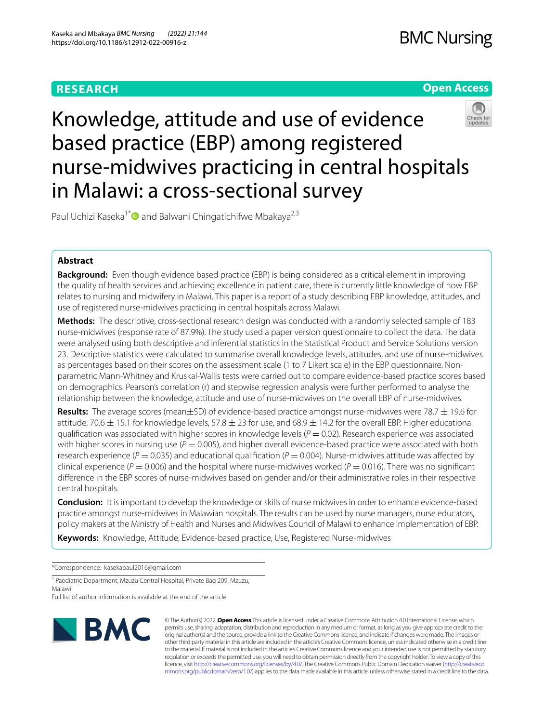# **RESEARCH**

# **Open Access**



Knowledge, attitude and use of evidence based practice (EBP) among registered nurse-midwives practicing in central hospitals in Malawi: a cross-sectional survey

Paul Uchizi Kaseka<sup>1\*</sup> and Balwani Chingatichifwe Mbakaya<sup>2,3</sup>

## **Abstract**

**Background:** Even though evidence based practice (EBP) is being considered as a critical element in improving the quality of health services and achieving excellence in patient care, there is currently little knowledge of how EBP relates to nursing and midwifery in Malawi. This paper is a report of a study describing EBP knowledge, attitudes, and use of registered nurse-midwives practicing in central hospitals across Malawi.

**Methods:** The descriptive, cross-sectional research design was conducted with a randomly selected sample of 183 nurse-midwives (response rate of 87.9%). The study used a paper version questionnaire to collect the data. The data were analysed using both descriptive and inferential statistics in the Statistical Product and Service Solutions version 23. Descriptive statistics were calculated to summarise overall knowledge levels, attitudes, and use of nurse-midwives as percentages based on their scores on the assessment scale (1 to 7 Likert scale) in the EBP questionnaire. Nonparametric Mann-Whitney and Kruskal-Wallis tests were carried out to compare evidence-based practice scores based on demographics. Pearson's correlation (r) and stepwise regression analysis were further performed to analyse the relationship between the knowledge, attitude and use of nurse-midwives on the overall EBP of nurse-midwives.

**Results:** The average scores (mean±SD) of evidence-based practice amongst nurse-midwives were 78.7 ± 19.6 for attitude, 70.6  $\pm$  15.1 for knowledge levels, 57.8  $\pm$  23 for use, and 68.9  $\pm$  14.2 for the overall EBP. Higher educational qualification was associated with higher scores in knowledge levels ( $P = 0.02$ ). Research experience was associated with higher scores in nursing use  $(P = 0.005)$ , and higher overall evidence-based practice were associated with both research experience ( $P = 0.035$ ) and educational qualification ( $P = 0.004$ ). Nurse-midwives attitude was affected by clinical experience ( $P = 0.006$ ) and the hospital where nurse-midwives worked ( $P = 0.016$ ). There was no significant diference in the EBP scores of nurse-midwives based on gender and/or their administrative roles in their respective central hospitals.

**Conclusion:** It is important to develop the knowledge or skills of nurse midwives in order to enhance evidence-based practice amongst nurse-midwives in Malawian hospitals. The results can be used by nurse managers, nurse educators, policy makers at the Ministry of Health and Nurses and Midwives Council of Malawi to enhance implementation of EBP.

**Keywords:** Knowledge, Attitude, Evidence-based practice, Use, Registered Nurse-midwives

\*Correspondence: kasekapaul2016@gmail.com

<sup>1</sup> Paediatric Department, Mzuzu Central Hospital, Private Bag 209, Mzuzu, Malawi

Full list of author information is available at the end of the article



© The Author(s) 2022. **Open Access** This article is licensed under a Creative Commons Attribution 4.0 International License, which permits use, sharing, adaptation, distribution and reproduction in any medium or format, as long as you give appropriate credit to the original author(s) and the source, provide a link to the Creative Commons licence, and indicate if changes were made. The images or other third party material in this article are included in the article's Creative Commons licence, unless indicated otherwise in a credit line to the material. If material is not included in the article's Creative Commons licence and your intended use is not permitted by statutory regulation or exceeds the permitted use, you will need to obtain permission directly from the copyright holder. To view a copy of this licence, visit [http://creativecommons.org/licenses/by/4.0/.](http://creativecommons.org/licenses/by/4.0/) The Creative Commons Public Domain Dedication waiver ([http://creativeco](http://creativecommons.org/publicdomain/zero/1.0/) [mmons.org/publicdomain/zero/1.0/](http://creativecommons.org/publicdomain/zero/1.0/)) applies to the data made available in this article, unless otherwise stated in a credit line to the data.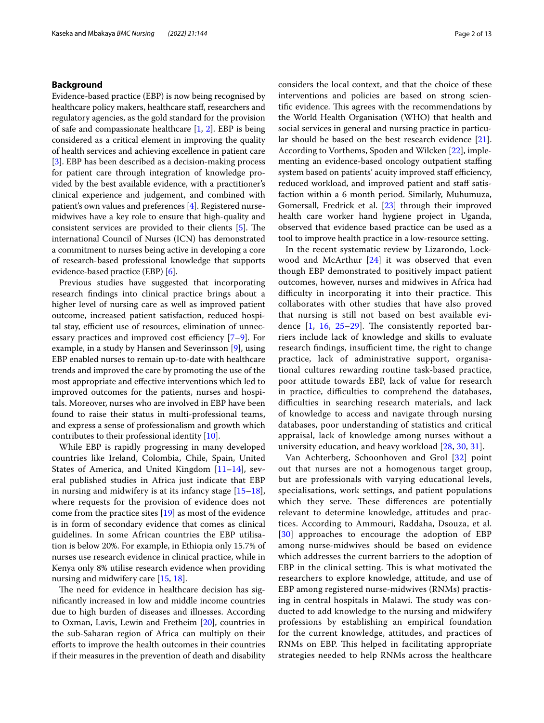## **Background**

Evidence-based practice (EBP) is now being recognised by healthcare policy makers, healthcare staf, researchers and regulatory agencies, as the gold standard for the provision of safe and compassionate healthcare [\[1](#page-11-0), [2](#page-11-1)]. EBP is being considered as a critical element in improving the quality of health services and achieving excellence in patient care [[3\]](#page-11-2). EBP has been described as a decision-making process for patient care through integration of knowledge provided by the best available evidence, with a practitioner's clinical experience and judgement, and combined with patient's own values and preferences [[4](#page-11-3)]. Registered nursemidwives have a key role to ensure that high-quality and consistent services are provided to their clients  $[5]$  $[5]$ . The international Council of Nurses (ICN) has demonstrated a commitment to nurses being active in developing a core of research-based professional knowledge that supports evidence-based practice (EBP) [\[6](#page-11-5)].

Previous studies have suggested that incorporating research fndings into clinical practice brings about a higher level of nursing care as well as improved patient outcome, increased patient satisfaction, reduced hospital stay, efficient use of resources, elimination of unnecessary practices and improved cost efficiency  $[7-9]$  $[7-9]$  $[7-9]$ . For example, in a study by Hansen and Severinsson [[9\]](#page-11-7), using EBP enabled nurses to remain up-to-date with healthcare trends and improved the care by promoting the use of the most appropriate and efective interventions which led to improved outcomes for the patients, nurses and hospitals. Moreover, nurses who are involved in EBP have been found to raise their status in multi-professional teams, and express a sense of professionalism and growth which contributes to their professional identity [\[10\]](#page-11-8).

While EBP is rapidly progressing in many developed countries like Ireland, Colombia, Chile, Spain, United States of America, and United Kingdom [\[11](#page-11-9)–[14\]](#page-11-10), several published studies in Africa just indicate that EBP in nursing and midwifery is at its infancy stage  $[15-18]$  $[15-18]$ , where requests for the provision of evidence does not come from the practice sites [[19\]](#page-11-13) as most of the evidence is in form of secondary evidence that comes as clinical guidelines. In some African countries the EBP utilisation is below 20%. For example, in Ethiopia only 15.7% of nurses use research evidence in clinical practice, while in Kenya only 8% utilise research evidence when providing nursing and midwifery care [\[15](#page-11-11), [18\]](#page-11-12).

The need for evidence in healthcare decision has signifcantly increased in low and middle income countries due to high burden of diseases and illnesses. According to Oxman, Lavis, Lewin and Fretheim [\[20](#page-11-14)], countries in the sub-Saharan region of Africa can multiply on their eforts to improve the health outcomes in their countries if their measures in the prevention of death and disability considers the local context, and that the choice of these interventions and policies are based on strong scientific evidence. This agrees with the recommendations by the World Health Organisation (WHO) that health and social services in general and nursing practice in particular should be based on the best research evidence [\[21](#page-11-15)]. According to Vorthems, Spoden and Wilcken [\[22](#page-11-16)], implementing an evidence-based oncology outpatient staffing system based on patients' acuity improved staff efficiency, reduced workload, and improved patient and staff satisfaction within a 6 month period. Similarly, Muhumuza, Gomersall, Fredrick et al. [\[23\]](#page-11-17) through their improved health care worker hand hygiene project in Uganda, observed that evidence based practice can be used as a tool to improve health practice in a low-resource setting.

In the recent systematic review by Lizarondo, Lockwood and McArthur [\[24\]](#page-11-18) it was observed that even though EBP demonstrated to positively impact patient outcomes, however, nurses and midwives in Africa had difficulty in incorporating it into their practice. This collaborates with other studies that have also proved that nursing is still not based on best available evidence  $[1, 16, 25-29]$  $[1, 16, 25-29]$  $[1, 16, 25-29]$  $[1, 16, 25-29]$  $[1, 16, 25-29]$  $[1, 16, 25-29]$  $[1, 16, 25-29]$ . The consistently reported barriers include lack of knowledge and skills to evaluate research findings, insufficient time, the right to change practice, lack of administrative support, organisational cultures rewarding routine task-based practice, poor attitude towards EBP, lack of value for research in practice, difficulties to comprehend the databases, difficulties in searching research materials, and lack of knowledge to access and navigate through nursing databases, poor understanding of statistics and critical appraisal, lack of knowledge among nurses without a university education, and heavy workload [\[28](#page-11-22), [30](#page-11-23), [31](#page-11-24)].

Van Achterberg, Schoonhoven and Grol [[32](#page-12-0)] point out that nurses are not a homogenous target group, but are professionals with varying educational levels, specialisations, work settings, and patient populations which they serve. These differences are potentially relevant to determine knowledge, attitudes and practices. According to Ammouri, Raddaha, Dsouza, et al. [[30](#page-11-23)] approaches to encourage the adoption of EBP among nurse-midwives should be based on evidence which addresses the current barriers to the adoption of EBP in the clinical setting. This is what motivated the researchers to explore knowledge, attitude, and use of EBP among registered nurse-midwives (RNMs) practising in central hospitals in Malawi. The study was conducted to add knowledge to the nursing and midwifery professions by establishing an empirical foundation for the current knowledge, attitudes, and practices of RNMs on EBP. This helped in facilitating appropriate strategies needed to help RNMs across the healthcare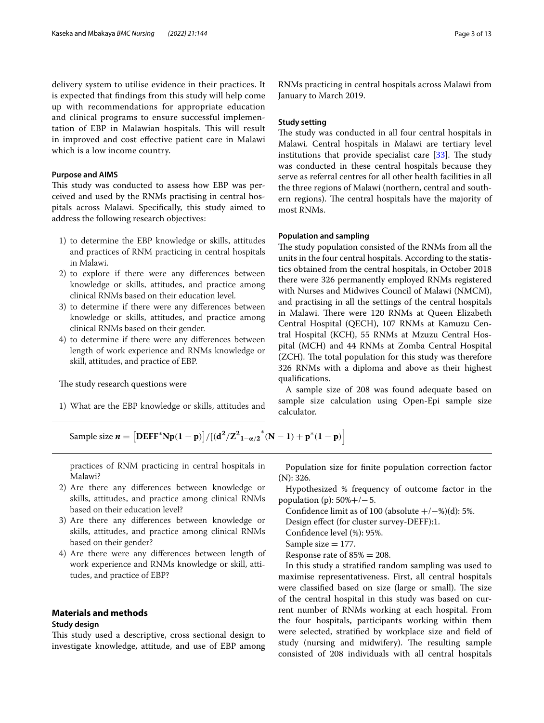delivery system to utilise evidence in their practices. It is expected that fndings from this study will help come up with recommendations for appropriate education and clinical programs to ensure successful implementation of EBP in Malawian hospitals. This will result in improved and cost efective patient care in Malawi which is a low income country.

#### **Purpose and AIMS**

This study was conducted to assess how EBP was perceived and used by the RNMs practising in central hospitals across Malawi. Specifcally, this study aimed to address the following research objectives:

- 1) to determine the EBP knowledge or skills, attitudes and practices of RNM practicing in central hospitals in Malawi.
- 2) to explore if there were any diferences between knowledge or skills, attitudes, and practice among clinical RNMs based on their education level.
- 3) to determine if there were any diferences between knowledge or skills, attitudes, and practice among clinical RNMs based on their gender.
- 4) to determine if there were any diferences between length of work experience and RNMs knowledge or skill, attitudes, and practice of EBP.

## The study research questions were

1) What are the EBP knowledge or skills, attitudes and

RNMs practicing in central hospitals across Malawi from January to March 2019.

## **Study setting**

The study was conducted in all four central hospitals in Malawi. Central hospitals in Malawi are tertiary level institutions that provide specialist care  $[33]$  $[33]$ . The study was conducted in these central hospitals because they serve as referral centres for all other health facilities in all the three regions of Malawi (northern, central and southern regions). The central hospitals have the majority of most RNMs.

#### **Population and sampling**

The study population consisted of the RNMs from all the units in the four central hospitals. According to the statistics obtained from the central hospitals, in October 2018 there were 326 permanently employed RNMs registered with Nurses and Midwives Council of Malawi (NMCM), and practising in all the settings of the central hospitals in Malawi. There were 120 RNMs at Queen Elizabeth Central Hospital (QECH), 107 RNMs at Kamuzu Central Hospital (KCH), 55 RNMs at Mzuzu Central Hospital (MCH) and 44 RNMs at Zomba Central Hospital (ZCH). The total population for this study was therefore 326 RNMs with a diploma and above as their highest qualifcations.

A sample size of 208 was found adequate based on sample size calculation using Open-Epi sample size calculator.

 $\text{Sample size } n = \left[ \text{DEFF}^* \text{Np}(1-p) \right] / \left[ (\text{d}^2/\text{Z}^2_{1-\alpha/2}^{\ \ *}(N-1) + \text{p}^*(1-p) \right].$ 

practices of RNM practicing in central hospitals in Malawi?

- 2) Are there any diferences between knowledge or skills, attitudes, and practice among clinical RNMs based on their education level?
- 3) Are there any diferences between knowledge or skills, attitudes, and practice among clinical RNMs based on their gender?
- 4) Are there were any diferences between length of work experience and RNMs knowledge or skill, attitudes, and practice of EBP?

## **Materials and methods**

## **Study design**

This study used a descriptive, cross sectional design to investigate knowledge, attitude, and use of EBP among

Population size for fnite population correction factor (N): 326.

Hypothesized % frequency of outcome factor in the population (p):  $50\% + / -5$ .

Confidence limit as of 100 (absolute  $+/-$ %)(d): 5%.

Design efect (for cluster survey-DEFF):1.

Confdence level (%): 95%.

Sample size  $= 177$ .

Response rate of  $85\% = 208$ .

In this study a stratifed random sampling was used to maximise representativeness. First, all central hospitals were classified based on size (large or small). The size of the central hospital in this study was based on current number of RNMs working at each hospital. From the four hospitals, participants working within them were selected, stratifed by workplace size and feld of study (nursing and midwifery). The resulting sample consisted of 208 individuals with all central hospitals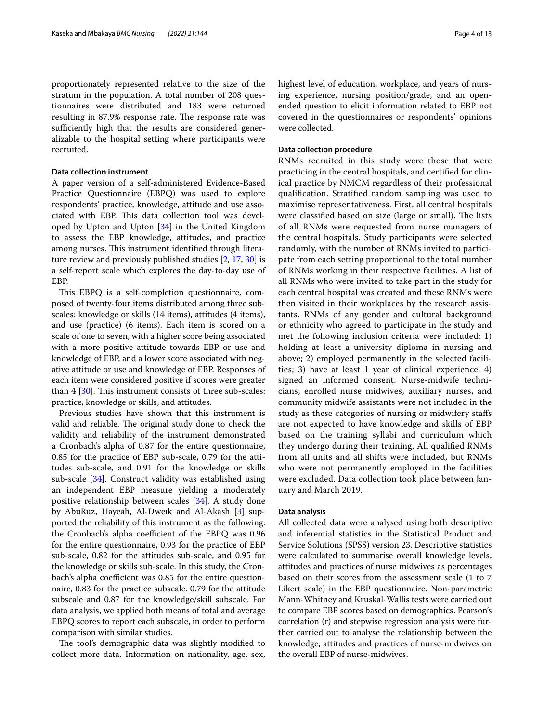proportionately represented relative to the size of the stratum in the population. A total number of 208 questionnaires were distributed and 183 were returned resulting in 87.9% response rate. The response rate was sufficiently high that the results are considered generalizable to the hospital setting where participants were

## **Data collection instrument**

recruited.

A paper version of a self-administered Evidence-Based Practice Questionnaire (EBPQ) was used to explore respondents' practice, knowledge, attitude and use associated with EBP. This data collection tool was developed by Upton and Upton [[34](#page-12-2)] in the United Kingdom to assess the EBP knowledge, attitudes, and practice among nurses. This instrument identified through literature review and previously published studies [\[2](#page-11-1), [17,](#page-11-25) [30](#page-11-23)] is a self-report scale which explores the day-to-day use of EBP.

This EBPQ is a self-completion questionnaire, composed of twenty-four items distributed among three subscales: knowledge or skills (14 items), attitudes (4 items), and use (practice) (6 items). Each item is scored on a scale of one to seven, with a higher score being associated with a more positive attitude towards EBP or use and knowledge of EBP, and a lower score associated with negative attitude or use and knowledge of EBP. Responses of each item were considered positive if scores were greater than  $4 \times 30$ . This instrument consists of three sub-scales: practice, knowledge or skills, and attitudes.

Previous studies have shown that this instrument is valid and reliable. The original study done to check the validity and reliability of the instrument demonstrated a Cronbach's alpha of 0.87 for the entire questionnaire, 0.85 for the practice of EBP sub-scale, 0.79 for the attitudes sub-scale, and 0.91 for the knowledge or skills sub-scale [[34](#page-12-2)]. Construct validity was established using an independent EBP measure yielding a moderately positive relationship between scales [\[34](#page-12-2)]. A study done by AbuRuz, Hayeah, Al-Dweik and Al-Akash [[3\]](#page-11-2) supported the reliability of this instrument as the following: the Cronbach's alpha coefficient of the EBPQ was 0.96 for the entire questionnaire, 0.93 for the practice of EBP sub-scale, 0.82 for the attitudes sub-scale, and 0.95 for the knowledge or skills sub-scale. In this study, the Cronbach's alpha coefficient was 0.85 for the entire questionnaire, 0.83 for the practice subscale. 0.79 for the attitude subscale and 0.87 for the knowledge/skill subscale. For data analysis, we applied both means of total and average EBPQ scores to report each subscale, in order to perform comparison with similar studies.

The tool's demographic data was slightly modified to collect more data. Information on nationality, age, sex,

highest level of education, workplace, and years of nursing experience, nursing position/grade, and an openended question to elicit information related to EBP not covered in the questionnaires or respondents' opinions were collected.

## **Data collection procedure**

RNMs recruited in this study were those that were practicing in the central hospitals, and certifed for clinical practice by NMCM regardless of their professional qualifcation. Stratifed random sampling was used to maximise representativeness. First, all central hospitals were classified based on size (large or small). The lists of all RNMs were requested from nurse managers of the central hospitals. Study participants were selected randomly, with the number of RNMs invited to participate from each setting proportional to the total number of RNMs working in their respective facilities. A list of all RNMs who were invited to take part in the study for each central hospital was created and these RNMs were then visited in their workplaces by the research assistants. RNMs of any gender and cultural background or ethnicity who agreed to participate in the study and met the following inclusion criteria were included: 1) holding at least a university diploma in nursing and above; 2) employed permanently in the selected facilities; 3) have at least 1 year of clinical experience; 4) signed an informed consent. Nurse-midwife technicians, enrolled nurse midwives, auxiliary nurses, and community midwife assistants were not included in the study as these categories of nursing or midwifery stafs are not expected to have knowledge and skills of EBP based on the training syllabi and curriculum which they undergo during their training. All qualifed RNMs from all units and all shifts were included, but RNMs who were not permanently employed in the facilities were excluded. Data collection took place between January and March 2019.

#### **Data analysis**

All collected data were analysed using both descriptive and inferential statistics in the Statistical Product and Service Solutions (SPSS) version 23. Descriptive statistics were calculated to summarise overall knowledge levels, attitudes and practices of nurse midwives as percentages based on their scores from the assessment scale (1 to 7 Likert scale) in the EBP questionnaire. Non-parametric Mann-Whitney and Kruskal-Wallis tests were carried out to compare EBP scores based on demographics. Pearson's correlation (r) and stepwise regression analysis were further carried out to analyse the relationship between the knowledge, attitudes and practices of nurse-midwives on the overall EBP of nurse-midwives.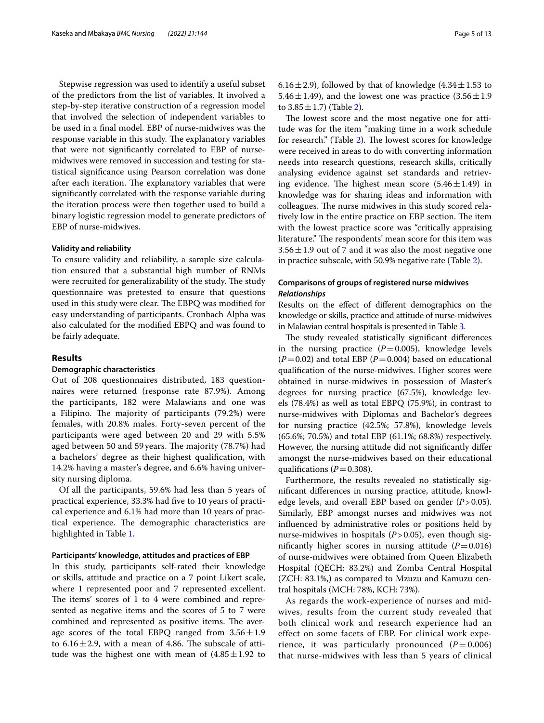Stepwise regression was used to identify a useful subset of the predictors from the list of variables. It involved a step-by-step iterative construction of a regression model that involved the selection of independent variables to be used in a fnal model. EBP of nurse-midwives was the response variable in this study. The explanatory variables that were not signifcantly correlated to EBP of nursemidwives were removed in succession and testing for statistical signifcance using Pearson correlation was done after each iteration. The explanatory variables that were signifcantly correlated with the response variable during the iteration process were then together used to build a binary logistic regression model to generate predictors of EBP of nurse-midwives.

## **Validity and reliability**

To ensure validity and reliability, a sample size calculation ensured that a substantial high number of RNMs were recruited for generalizability of the study. The study questionnaire was pretested to ensure that questions used in this study were clear. The EBPQ was modified for easy understanding of participants. Cronbach Alpha was also calculated for the modifed EBPQ and was found to be fairly adequate.

## **Results**

## **Demographic characteristics**

Out of 208 questionnaires distributed, 183 questionnaires were returned (response rate 87.9%). Among the participants, 182 were Malawians and one was a Filipino. The majority of participants (79.2%) were females, with 20.8% males. Forty-seven percent of the participants were aged between 20 and 29 with 5.5% aged between 50 and 59 years. The majority (78.7%) had a bachelors' degree as their highest qualifcation, with 14.2% having a master's degree, and 6.6% having university nursing diploma.

Of all the participants, 59.6% had less than 5 years of practical experience, 33.3% had fve to 10 years of practical experience and 6.1% had more than 10 years of practical experience. The demographic characteristics are highlighted in Table [1](#page-5-0).

#### **Participants' knowledge, attitudes and practices of EBP**

In this study, participants self-rated their knowledge or skills, attitude and practice on a 7 point Likert scale, where 1 represented poor and 7 represented excellent. The items' scores of 1 to 4 were combined and represented as negative items and the scores of 5 to 7 were combined and represented as positive items. The average scores of the total EBPQ ranged from  $3.56 \pm 1.9$ to  $6.16 \pm 2.9$ , with a mean of 4.86. The subscale of attitude was the highest one with mean of  $(4.85 \pm 1.92)$  to

The lowest score and the most negative one for attitude was for the item "making time in a work schedule for research." (Table [2](#page-6-0)). The lowest scores for knowledge were received in areas to do with converting information needs into research questions, research skills, critically analysing evidence against set standards and retrieving evidence. The highest mean score  $(5.46 \pm 1.49)$  in knowledge was for sharing ideas and information with colleagues. The nurse midwives in this study scored relatively low in the entire practice on EBP section. The item with the lowest practice score was "critically appraising literature." The respondents' mean score for this item was  $3.56 \pm 1.9$  out of 7 and it was also the most negative one in practice subscale, with 50.9% negative rate (Table [2\)](#page-6-0).

## **Comparisons of groups of registered nurse midwives** *Relationships*

Results on the efect of diferent demographics on the knowledge or skills, practice and attitude of nurse-midwives in Malawian central hospitals is presented in Table [3](#page-7-0)*.*

The study revealed statistically significant differences in the nursing practice  $(P=0.005)$ , knowledge levels  $(P=0.02)$  and total EBP  $(P=0.004)$  based on educational qualifcation of the nurse-midwives. Higher scores were obtained in nurse-midwives in possession of Master's degrees for nursing practice (67.5%), knowledge levels (78.4%) as well as total EBPQ (75.9%), in contrast to nurse-midwives with Diplomas and Bachelor's degrees for nursing practice (42.5%; 57.8%), knowledge levels (65.6%; 70.5%) and total EBP (61.1%; 68.8%) respectively. However, the nursing attitude did not signifcantly difer amongst the nurse-midwives based on their educational qualifications  $(P=0.308)$ .

Furthermore, the results revealed no statistically signifcant diferences in nursing practice, attitude, knowledge levels, and overall EBP based on gender (*P*>0.05). Similarly, EBP amongst nurses and midwives was not infuenced by administrative roles or positions held by nurse-midwives in hospitals (*P*>0.05), even though significantly higher scores in nursing attitude  $(P=0.016)$ of nurse-midwives were obtained from Queen Elizabeth Hospital (QECH: 83.2%) and Zomba Central Hospital (ZCH: 83.1%,) as compared to Mzuzu and Kamuzu central hospitals (MCH: 78%, KCH: 73%).

As regards the work-experience of nurses and midwives, results from the current study revealed that both clinical work and research experience had an effect on some facets of EBP. For clinical work experience, it was particularly pronounced  $(P=0.006)$ that nurse-midwives with less than 5 years of clinical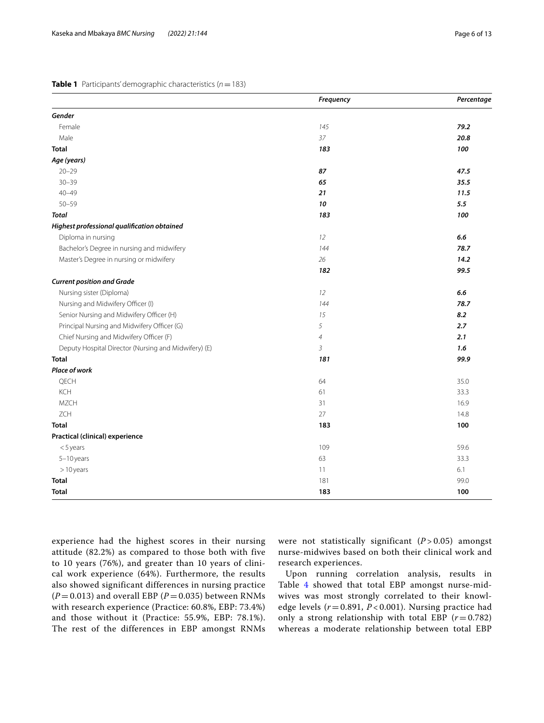## <span id="page-5-0"></span>**Table 1** Participants' demographic characteristics (*n*=183)

|                                                      | Frequency      | Percentage |
|------------------------------------------------------|----------------|------------|
| Gender                                               |                |            |
| Female                                               | 145            | 79.2       |
| Male                                                 | 37             | 20.8       |
| <b>Total</b>                                         | 183            | 100        |
| Age (years)                                          |                |            |
| $20 - 29$                                            | 87             | 47.5       |
| $30 - 39$                                            | 65             | 35.5       |
| $40 - 49$                                            | 21             | 11.5       |
| $50 - 59$                                            | 10             | 5.5        |
| <b>Total</b>                                         | 183            | 100        |
| Highest professional qualification obtained          |                |            |
| Diploma in nursing                                   | 12             | 6.6        |
| Bachelor's Degree in nursing and midwifery           | 144            | 78.7       |
| Master's Degree in nursing or midwifery              | 26             | 14.2       |
|                                                      | 182            | 99.5       |
| <b>Current position and Grade</b>                    |                |            |
| Nursing sister (Diploma)                             | 12             | 6.6        |
| Nursing and Midwifery Officer (I)                    | 144            | 78.7       |
| Senior Nursing and Midwifery Officer (H)             | 15             | 8.2        |
| Principal Nursing and Midwifery Officer (G)          | 5              | 2.7        |
| Chief Nursing and Midwifery Officer (F)              | $\overline{4}$ | 2.1        |
| Deputy Hospital Director (Nursing and Midwifery) (E) | $\overline{3}$ | 1.6        |
| <b>Total</b>                                         | 181            | 99.9       |
| Place of work                                        |                |            |
| QECH                                                 | 64             | 35.0       |
| KCH                                                  | 61             | 33.3       |
| <b>MZCH</b>                                          | 31             | 16.9       |
| ZCH                                                  | 27             | 14.8       |
| <b>Total</b>                                         | 183            | 100        |
| Practical (clinical) experience                      |                |            |
| $<$ 5 years                                          | 109            | 59.6       |
| $5-10$ years                                         | 63             | 33.3       |
| $>10$ years                                          | 11             | 6.1        |
| <b>Total</b>                                         | 181            | 99.0       |
| <b>Total</b>                                         | 183            | 100        |

experience had the highest scores in their nursing attitude (82.2%) as compared to those both with five to 10 years (76%), and greater than 10 years of clinical work experience (64%). Furthermore, the results also showed significant differences in nursing practice  $(P = 0.013)$  and overall EBP ( $P = 0.035$ ) between RNMs with research experience (Practice: 60.8%, EBP: 73.4%) and those without it (Practice: 55.9%, EBP: 78.1%). The rest of the differences in EBP amongst RNMs

were not statistically significant  $(P > 0.05)$  amongst nurse-midwives based on both their clinical work and research experiences.

Upon running correlation analysis, results in Table [4](#page-7-1) showed that total EBP amongst nurse-midwives was most strongly correlated to their knowledge levels (*r* = 0.891, *P* < 0.001). Nursing practice had only a strong relationship with total EBP  $(r=0.782)$ whereas a moderate relationship between total EBP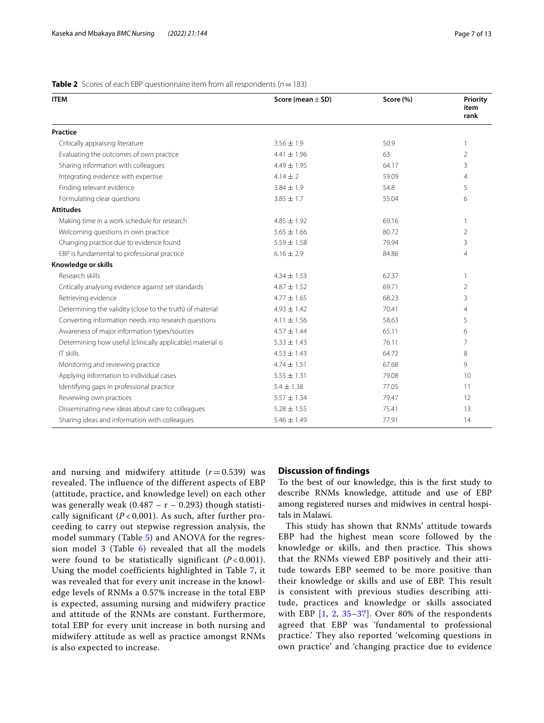| <b>ITEM</b>                                                | Score (mean $\pm$ SD) | Score (%) | Priority<br>item<br>rank |
|------------------------------------------------------------|-----------------------|-----------|--------------------------|
| Practice                                                   |                       |           |                          |
| Critically appraising literature                           | $3.56 \pm 1.9$        | 50.9      | 1                        |
| Evaluating the outcomes of own practice                    | $4.41 \pm 1.96$       | 63        | $\overline{2}$           |
| Sharing information with colleagues                        | $4.49 \pm 1.95$       | 64.17     | 3                        |
| Integrating evidence with expertise                        | $4.14 + 2$            | 59.09     | $\overline{4}$           |
| Finding relevant evidence                                  | $3.84 \pm 1.9$        | 54.8      | 5                        |
| Formulating clear questions                                | $3.85 \pm 1.7$        | 55.04     | 6                        |
| <b>Attitudes</b>                                           |                       |           |                          |
| Making time in a work schedule for research                | $4.85 \pm 1.92$       | 69.16     | 1                        |
| Welcoming questions in own practice                        | $5.65 \pm 1.66$       | 80.72     | 2                        |
| Changing practice due to evidence found                    | $5.59 \pm 1.58$       | 79.94     | 3                        |
| EBP is fundamental to professional practice                | $6.16 \pm 2.9$        | 84.86     | 4                        |
| Knowledge or skills                                        |                       |           |                          |
| Research skills                                            | $4.34 + 1.53$         | 62.37     | 1                        |
| Critically analysing evidence against set standards        | $4.87 \pm 1.52$       | 69.71     | 2                        |
| Retrieving evidence                                        | $4.77 \pm 1.65$       | 68.23     | 3                        |
| Determining the validity (close to the truth) of material  | $4.93 \pm 1.42$       | 70.41     | 4                        |
| Converting information needs into research questions       | $4.11 \pm 1.56$       | 58.63     | 5                        |
| Awareness of major information types/sources               | $4.57 \pm 1.44$       | 65.11     | 6                        |
| Determining how useful (clinically applicable) material is | $5.33 \pm 1.43$       | 76.11     | $\overline{7}$           |
| IT skills                                                  | $4.53 \pm 1.43$       | 64.72     | 8                        |
| Monitoring and reviewing practice                          | $4.74 \pm 1.51$       | 67.68     | 9                        |
| Applying information to individual cases                   | $5.55 \pm 1.31$       | 79.08     | 10                       |
| Identifying gaps in professional practice                  | $5.4 \pm 1.38$        | 77.05     | 11                       |
| Reviewing own practices                                    | $5.57 \pm 1.34$       | 79.47     | 12                       |
| Disseminating new ideas about care to colleagues           | $5.28 \pm 1.55$       | 75.41     | 13                       |
| Sharing ideas and information with colleagues              | $5.46 \pm 1.49$       | 77.91     | 14                       |

## <span id="page-6-0"></span>**Table 2** Scores of each EBP questionnaire item from all respondents ( $n = 183$ )

and nursing and midwifery attitude  $(r=0.539)$  was revealed. The influence of the different aspects of EBP (attitude, practice, and knowledge level) on each other was generally weak (0.487 –  $r - 0.293$ ) though statistically significant  $(P< 0.001)$ . As such, after further proceeding to carry out stepwise regression analysis, the model summary (Table [5](#page-8-0)) and ANOVA for the regression model 3 (Table  $6$ ) revealed that all the models were found to be statistically significant  $(P< 0.001)$ . Using the model coefficients highlighted in Table [7,](#page-8-2) it was revealed that for every unit increase in the knowledge levels of RNMs a 0.57% increase in the total EBP is expected, assuming nursing and midwifery practice and attitude of the RNMs are constant. Furthermore, total EBP for every unit increase in both nursing and midwifery attitude as well as practice amongst RNMs is also expected to increase.

#### **Discussion of fndings**

To the best of our knowledge, this is the frst study to describe RNMs knowledge, attitude and use of EBP among registered nurses and midwives in central hospitals in Malawi.

This study has shown that RNMs' attitude towards EBP had the highest mean score followed by the knowledge or skills, and then practice. This shows that the RNMs viewed EBP positively and their attitude towards EBP seemed to be more positive than their knowledge or skills and use of EBP. This result is consistent with previous studies describing attitude, practices and knowledge or skills associated with EBP  $[1, 2, 35-37]$  $[1, 2, 35-37]$  $[1, 2, 35-37]$  $[1, 2, 35-37]$  $[1, 2, 35-37]$  $[1, 2, 35-37]$ . Over 80% of the respondents agreed that EBP was 'fundamental to professional practice.' They also reported 'welcoming questions in own practice' and 'changing practice due to evidence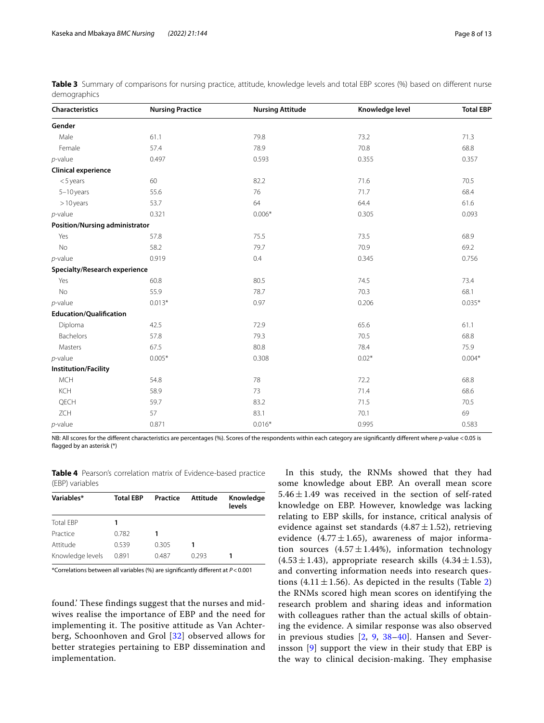| Characteristics                | <b>Nursing Practice</b> | <b>Nursing Attitude</b> | Knowledge level | <b>Total EBP</b> |
|--------------------------------|-------------------------|-------------------------|-----------------|------------------|
| Gender                         |                         |                         |                 |                  |
| Male                           | 61.1                    | 79.8                    | 73.2            | 71.3             |
| Female                         | 57.4                    | 78.9                    | 70.8            | 68.8             |
| $p$ -value                     | 0.497                   | 0.593                   | 0.355           | 0.357            |
| <b>Clinical experience</b>     |                         |                         |                 |                  |
| $<$ 5 years                    | 60                      | 82.2                    | 71.6            | 70.5             |
| $5-10$ years                   | 55.6                    | 76                      | 71.7            | 68.4             |
| $>10$ years                    | 53.7                    | 64                      | 64.4            | 61.6             |
| $p$ -value                     | 0.321                   | $0.006*$                | 0.305           | 0.093            |
| Position/Nursing administrator |                         |                         |                 |                  |
| Yes                            | 57.8                    | 75.5                    | 73.5            | 68.9             |
| <b>No</b>                      | 58.2                    | 79.7                    | 70.9            | 69.2             |
| $p$ -value                     | 0.919                   | 0.4                     | 0.345           | 0.756            |
| Specialty/Research experience  |                         |                         |                 |                  |
| Yes                            | 60.8                    | 80.5                    | 74.5            | 73.4             |
| <b>No</b>                      | 55.9                    | 78.7                    | 70.3            | 68.1             |
| $p$ -value                     | $0.013*$                | 0.97                    | 0.206           | $0.035*$         |
| <b>Education/Qualification</b> |                         |                         |                 |                  |
| Diploma                        | 42.5                    | 72.9                    | 65.6            | 61.1             |
| Bachelors                      | 57.8                    | 79.3                    | 70.5            | 68.8             |
| Masters                        | 67.5                    | 80.8                    | 78.4            | 75.9             |
| $p$ -value                     | $0.005*$                | 0.308                   | $0.02*$         | $0.004*$         |
| <b>Institution/Facility</b>    |                         |                         |                 |                  |
| <b>MCH</b>                     | 54.8                    | 78                      | 72.2            | 68.8             |
| KCH                            | 58.9                    | 73                      | 71.4            | 68.6             |
| QECH                           | 59.7                    | 83.2                    | 71.5            | 70.5             |
| <b>ZCH</b>                     | 57                      | 83.1                    | 70.1            | 69               |
| $p$ -value                     | 0.871                   | $0.016*$                | 0.995           | 0.583            |

<span id="page-7-0"></span>

|              | Table 3 Summary of comparisons for nursing practice, attitude, knowledge levels and total EBP scores (%) based on different nurse |  |  |  |  |  |  |
|--------------|-----------------------------------------------------------------------------------------------------------------------------------|--|--|--|--|--|--|
| demographics |                                                                                                                                   |  |  |  |  |  |  |

NB: All scores for the diferent characteristics are percentages (%). Scores of the respondents within each category are signifcantly diferent where *p*-value <0.05 is fagged by an asterisk (\*)

<span id="page-7-1"></span>**Table 4** Pearson's correlation matrix of Evidence-based practice (EBP) variables

| <b>Total EBP</b> | Practice | Attitude | Knowledge<br>levels |
|------------------|----------|----------|---------------------|
|                  |          |          |                     |
| 0.782            |          |          |                     |
| 0.539            | 0.305    |          |                     |
| 0.891            | 0.487    | 0.293    |                     |
|                  |          |          |                     |

\*Correlations between all variables (%) are signifcantly diferent at *P*<0.001

found.' These findings suggest that the nurses and midwives realise the importance of EBP and the need for implementing it. The positive attitude as Van Achterberg, Schoonhoven and Grol [[32](#page-12-0)] observed allows for better strategies pertaining to EBP dissemination and implementation.

In this study, the RNMs showed that they had some knowledge about EBP. An overall mean score  $5.46 \pm 1.49$  was received in the section of self-rated knowledge on EBP. However, knowledge was lacking relating to EBP skills, for instance, critical analysis of evidence against set standards (4.87 $\pm$ 1.52), retrieving evidence (4.77 $\pm$ 1.65), awareness of major information sources  $(4.57 \pm 1.44\%)$ , information technology  $(4.53 \pm 1.43)$ , appropriate research skills  $(4.34 \pm 1.53)$ , and converting information needs into research questions (4.11 $\pm$ 1.56). As depicted in the results (Table [2](#page-6-0)) the RNMs scored high mean scores on identifying the research problem and sharing ideas and information with colleagues rather than the actual skills of obtaining the evidence. A similar response was also observed in previous studies [\[2,](#page-11-1) [9](#page-11-7), [38](#page-12-5)[–40](#page-12-6)]. Hansen and Severinsson [[9\]](#page-11-7) support the view in their study that EBP is the way to clinical decision-making. They emphasise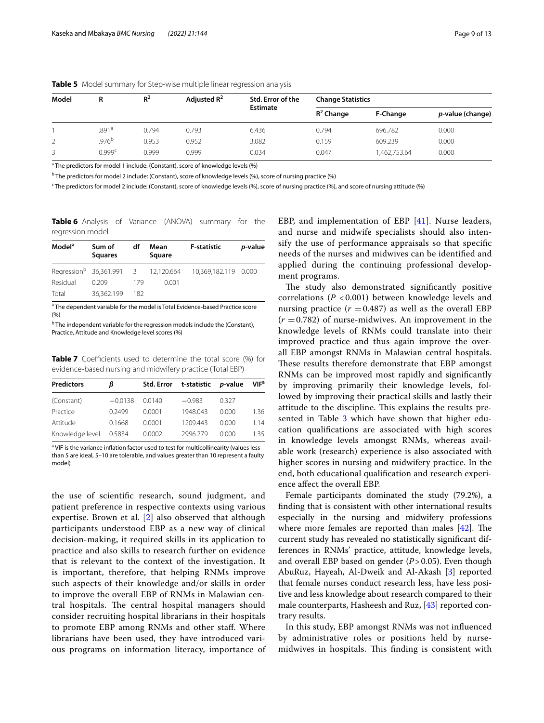| Model | R                 | $R^2$<br>Adjusted $R^2$ |       | Std. Error of the | <b>Change Statistics</b> |              |                          |  |
|-------|-------------------|-------------------------|-------|-------------------|--------------------------|--------------|--------------------------|--|
|       |                   |                         |       | <b>Estimate</b>   | $R^2$ Change             | F-Change     | <i>p</i> -value (change) |  |
|       | .891a             | 0.794                   | 0.793 | 6.436             | 0.794                    | 696.782      | 0.000                    |  |
|       | .976 <sup>b</sup> | 0.953                   | 0.952 | 3.082             | 0.159                    | 609.239      | 0.000                    |  |
|       | 0.999c            | 0.999                   | 0.999 | 0.034             | 0.047                    | 1,462,753.64 | 0.000                    |  |

<span id="page-8-0"></span>**Table 5** Model summary for Step-wise multiple linear regression analysis

<sup>a</sup> The predictors for model 1 include: (Constant), score of knowledge levels (%)

b The predictors for model 2 include: (Constant), score of knowledge levels (%), score of nursing practice (%)

<sup>c</sup> The predictors for model 2 include: (Constant), score of knowledge levels (%), score of nursing practice (%), and score of nursing attitude (%)

<span id="page-8-1"></span>**Table 6** Analysis of Variance (ANOVA) summary for the regression model

| Model <sup>a</sup> | Sum of<br><b>Squares</b>                        | df  | Mean<br>Square | <b>F-statistic</b>   | p-value |
|--------------------|-------------------------------------------------|-----|----------------|----------------------|---------|
|                    | Regression <sup>b</sup> 36,361.991 3 12,120.664 |     |                | 10,369,182.119 0.000 |         |
| Residual           | 0.209                                           | 179 | 0.001          |                      |         |
| Total              | 36.362.199                                      | 182 |                |                      |         |

<sup>a</sup> The dependent variable for the model is Total Evidence-based Practice score  $(9/0)$ 

<sup>b</sup> The independent variable for the regression models include the (Constant), Practice, Attitude and Knowledge level scores (%)

<span id="page-8-2"></span>**Table 7** Coefficients used to determine the total score (%) for evidence-based nursing and midwifery practice (Total EBP)

| <b>Predictors</b> | ß         |        | Std. Error t-statistic p-value |       | VIF <sup>a</sup> |
|-------------------|-----------|--------|--------------------------------|-------|------------------|
| (Constant)        | $-0.0138$ | 0.0140 | $-0.983$                       | 0327  |                  |
| Practice          | 0.2499    | 0.0001 | 1948.043                       | 0.000 | 1.36             |
| Attitude          | 0.1668    | 0.0001 | 1209.443                       | 0.000 | 1 1 4            |
| Knowledge level   | 0.5834    | 0.0002 | 2996.279                       | 0.000 | 135.             |

<sup>a</sup> VIF is the variance inflation factor used to test for multicollinearity (values less than 5 are ideal, 5–10 are tolerable, and values greater than 10 represent a faulty model)

the use of scientifc research, sound judgment, and patient preference in respective contexts using various expertise. Brown et al. [[2\]](#page-11-1) also observed that although participants understood EBP as a new way of clinical decision-making, it required skills in its application to practice and also skills to research further on evidence that is relevant to the context of the investigation. It is important, therefore, that helping RNMs improve such aspects of their knowledge and/or skills in order to improve the overall EBP of RNMs in Malawian central hospitals. The central hospital managers should consider recruiting hospital librarians in their hospitals to promote EBP among RNMs and other staf. Where librarians have been used, they have introduced various programs on information literacy, importance of EBP, and implementation of EBP [[41\]](#page-12-7). Nurse leaders, and nurse and midwife specialists should also intensify the use of performance appraisals so that specifc needs of the nurses and midwives can be identifed and applied during the continuing professional development programs.

The study also demonstrated significantly positive correlations (*P* < 0.001) between knowledge levels and nursing practice  $(r = 0.487)$  as well as the overall EBP  $(r = 0.782)$  of nurse-midwives. An improvement in the knowledge levels of RNMs could translate into their improved practice and thus again improve the overall EBP amongst RNMs in Malawian central hospitals. These results therefore demonstrate that EBP amongst RNMs can be improved most rapidly and signifcantly by improving primarily their knowledge levels, followed by improving their practical skills and lastly their attitude to the discipline. This explains the results pre-sented in Table [3](#page-7-0) which have shown that higher education qualifcations are associated with high scores in knowledge levels amongst RNMs, whereas available work (research) experience is also associated with higher scores in nursing and midwifery practice. In the end, both educational qualifcation and research experience afect the overall EBP.

Female participants dominated the study (79.2%), a fnding that is consistent with other international results especially in the nursing and midwifery professions where more females are reported than males  $[42]$  $[42]$ . The current study has revealed no statistically signifcant differences in RNMs' practice, attitude, knowledge levels, and overall EBP based on gender (*P*>0.05). Even though AbuRuz, Hayeah, Al-Dweik and Al-Akash [[3\]](#page-11-2) reported that female nurses conduct research less, have less positive and less knowledge about research compared to their male counterparts, Hasheesh and Ruz, [[43\]](#page-12-9) reported contrary results.

In this study, EBP amongst RNMs was not infuenced by administrative roles or positions held by nursemidwives in hospitals. This finding is consistent with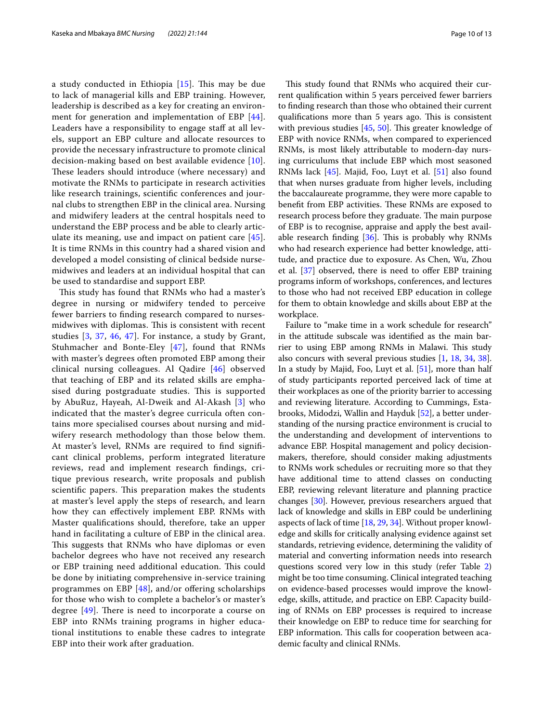a study conducted in Ethiopia [[15\]](#page-11-11). This may be due to lack of managerial kills and EBP training. However, leadership is described as a key for creating an environ-ment for generation and implementation of EBP [[44\]](#page-12-10). Leaders have a responsibility to engage staff at all levels, support an EBP culture and allocate resources to provide the necessary infrastructure to promote clinical decision-making based on best available evidence [[10\]](#page-11-8). These leaders should introduce (where necessary) and motivate the RNMs to participate in research activities like research trainings, scientifc conferences and journal clubs to strengthen EBP in the clinical area. Nursing and midwifery leaders at the central hospitals need to understand the EBP process and be able to clearly articulate its meaning, use and impact on patient care [[45](#page-12-11)]. It is time RNMs in this country had a shared vision and developed a model consisting of clinical bedside nursemidwives and leaders at an individual hospital that can be used to standardise and support EBP.

This study has found that RNMs who had a master's degree in nursing or midwifery tended to perceive fewer barriers to fnding research compared to nursesmidwives with diplomas. This is consistent with recent studies  $[3, 37, 46, 47]$  $[3, 37, 46, 47]$  $[3, 37, 46, 47]$  $[3, 37, 46, 47]$  $[3, 37, 46, 47]$  $[3, 37, 46, 47]$  $[3, 37, 46, 47]$ . For instance, a study by Grant, Stuhmacher and Bonte-Eley [[47\]](#page-12-13), found that RNMs with master's degrees often promoted EBP among their clinical nursing colleagues. Al Qadire [[46\]](#page-12-12) observed that teaching of EBP and its related skills are emphasised during postgraduate studies. This is supported by AbuRuz, Hayeah, Al-Dweik and Al-Akash [\[3](#page-11-2)] who indicated that the master's degree curricula often contains more specialised courses about nursing and midwifery research methodology than those below them. At master's level, RNMs are required to fnd signifcant clinical problems, perform integrated literature reviews, read and implement research fndings, critique previous research, write proposals and publish scientific papers. This preparation makes the students at master's level apply the steps of research, and learn how they can efectively implement EBP. RNMs with Master qualifcations should, therefore, take an upper hand in facilitating a culture of EBP in the clinical area. This suggests that RNMs who have diplomas or even bachelor degrees who have not received any research or EBP training need additional education. This could be done by initiating comprehensive in-service training programmes on EBP  $[48]$  $[48]$ , and/or offering scholarships for those who wish to complete a bachelor's or master's degree  $[49]$  $[49]$  $[49]$ . There is need to incorporate a course on EBP into RNMs training programs in higher educational institutions to enable these cadres to integrate EBP into their work after graduation.

This study found that RNMs who acquired their current qualifcation within 5 years perceived fewer barriers to fnding research than those who obtained their current qualifications more than 5 years ago. This is consistent with previous studies  $[45, 50]$  $[45, 50]$  $[45, 50]$  $[45, 50]$  $[45, 50]$ . This greater knowledge of EBP with novice RNMs, when compared to experienced RNMs, is most likely attributable to modern-day nursing curriculums that include EBP which most seasoned RNMs lack [\[45](#page-12-11)]. Majid, Foo, Luyt et al. [\[51\]](#page-12-17) also found that when nurses graduate from higher levels, including the baccalaureate programme, they were more capable to benefit from EBP activities. These RNMs are exposed to research process before they graduate. The main purpose of EBP is to recognise, appraise and apply the best available research finding  $[36]$ . This is probably why RNMs who had research experience had better knowledge, attitude, and practice due to exposure. As Chen, Wu, Zhou et al. [\[37](#page-12-4)] observed, there is need to offer EBP training programs inform of workshops, conferences, and lectures to those who had not received EBP education in college for them to obtain knowledge and skills about EBP at the workplace.

Failure to "make time in a work schedule for research" in the attitude subscale was identifed as the main barrier to using EBP among RNMs in Malawi. This study also concurs with several previous studies [\[1](#page-11-0), [18](#page-11-12), [34](#page-12-2), [38](#page-12-5)]. In a study by Majid, Foo, Luyt et al. [\[51\]](#page-12-17), more than half of study participants reported perceived lack of time at their workplaces as one of the priority barrier to accessing and reviewing literature. According to Cummings, Estabrooks, Midodzi, Wallin and Hayduk [\[52](#page-12-19)], a better understanding of the nursing practice environment is crucial to the understanding and development of interventions to advance EBP. Hospital management and policy decisionmakers, therefore, should consider making adjustments to RNMs work schedules or recruiting more so that they have additional time to attend classes on conducting EBP, reviewing relevant literature and planning practice changes [[30](#page-11-23)]. However, previous researchers argued that lack of knowledge and skills in EBP could be underlining aspects of lack of time [[18,](#page-11-12) [29,](#page-11-21) [34\]](#page-12-2). Without proper knowledge and skills for critically analysing evidence against set standards, retrieving evidence, determining the validity of material and converting information needs into research questions scored very low in this study (refer Table [2](#page-6-0)) might be too time consuming. Clinical integrated teaching on evidence-based processes would improve the knowledge, skills, attitude, and practice on EBP. Capacity building of RNMs on EBP processes is required to increase their knowledge on EBP to reduce time for searching for EBP information. This calls for cooperation between academic faculty and clinical RNMs.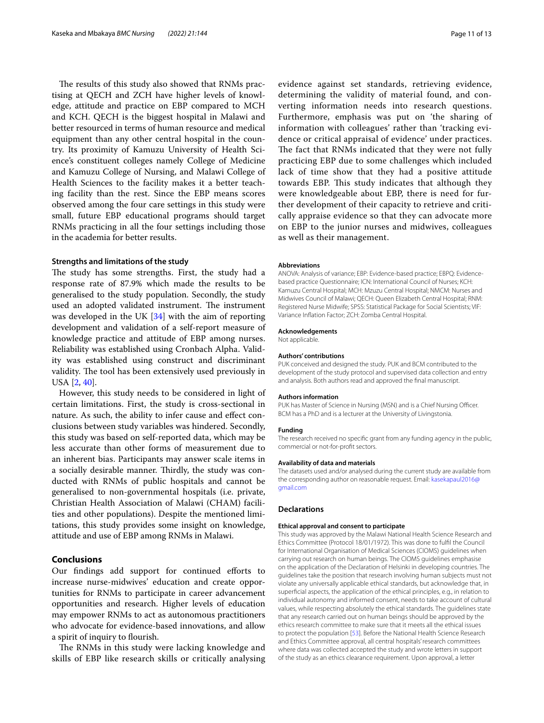The results of this study also showed that RNMs practising at QECH and ZCH have higher levels of knowledge, attitude and practice on EBP compared to MCH and KCH. QECH is the biggest hospital in Malawi and better resourced in terms of human resource and medical equipment than any other central hospital in the country. Its proximity of Kamuzu University of Health Science's constituent colleges namely College of Medicine and Kamuzu College of Nursing, and Malawi College of Health Sciences to the facility makes it a better teaching facility than the rest. Since the EBP means scores observed among the four care settings in this study were small, future EBP educational programs should target RNMs practicing in all the four settings including those in the academia for better results.

## **Strengths and limitations of the study**

The study has some strengths. First, the study had a response rate of 87.9% which made the results to be generalised to the study population. Secondly, the study used an adopted validated instrument. The instrument was developed in the UK  $[34]$  with the aim of reporting development and validation of a self-report measure of knowledge practice and attitude of EBP among nurses. Reliability was established using Cronbach Alpha. Validity was established using construct and discriminant validity. The tool has been extensively used previously in USA [\[2](#page-11-1), [40\]](#page-12-6).

However, this study needs to be considered in light of certain limitations. First, the study is cross-sectional in nature. As such, the ability to infer cause and efect conclusions between study variables was hindered. Secondly, this study was based on self-reported data, which may be less accurate than other forms of measurement due to an inherent bias. Participants may answer scale items in a socially desirable manner. Thirdly, the study was conducted with RNMs of public hospitals and cannot be generalised to non-governmental hospitals (i.e. private, Christian Health Association of Malawi (CHAM) facilities and other populations). Despite the mentioned limitations, this study provides some insight on knowledge, attitude and use of EBP among RNMs in Malawi.

## **Conclusions**

Our findings add support for continued efforts to increase nurse-midwives' education and create opportunities for RNMs to participate in career advancement opportunities and research. Higher levels of education may empower RNMs to act as autonomous practitioners who advocate for evidence-based innovations, and allow a spirit of inquiry to flourish.

The RNMs in this study were lacking knowledge and skills of EBP like research skills or critically analysing

evidence against set standards, retrieving evidence, determining the validity of material found, and converting information needs into research questions. Furthermore, emphasis was put on 'the sharing of information with colleagues' rather than 'tracking evidence or critical appraisal of evidence' under practices. The fact that RNMs indicated that they were not fully practicing EBP due to some challenges which included lack of time show that they had a positive attitude towards EBP. This study indicates that although they were knowledgeable about EBP, there is need for further development of their capacity to retrieve and critically appraise evidence so that they can advocate more on EBP to the junior nurses and midwives, colleagues as well as their management.

#### **Abbreviations**

ANOVA: Analysis of variance; EBP: Evidence-based practice; EBPQ: Evidencebased practice Questionnaire; ICN: International Council of Nurses; KCH: Kamuzu Central Hospital; MCH: Mzuzu Central Hospital; NMCM: Nurses and Midwives Council of Malawi; QECH: Queen Elizabeth Central Hospital; RNM: Registered Nurse Midwife; SPSS: Statistical Package for Social Scientists; VIF: Variance Infation Factor; ZCH: Zomba Central Hospital.

#### **Acknowledgements**

Not applicable.

#### **Authors' contributions**

PUK conceived and designed the study. PUK and BCM contributed to the development of the study protocol and supervised data collection and entry and analysis. Both authors read and approved the fnal manuscript.

#### **Authors information**

PUK has Master of Science in Nursing (MSN) and is a Chief Nursing Officer. BCM has a PhD and is a lecturer at the University of Livingstonia.

#### **Funding**

The research received no specifc grant from any funding agency in the public, commercial or not-for-proft sectors.

#### **Availability of data and materials**

The datasets used and/or analysed during the current study are available from the corresponding author on reasonable request. Email: [kasekapaul2016@](kasekapaul2016@gmail.com) [gmail.com](kasekapaul2016@gmail.com)

#### **Declarations**

#### **Ethical approval and consent to participate**

This study was approved by the Malawi National Health Science Research and Ethics Committee (Protocol 18/01/1972). This was done to fulfl the Council for International Organisation of Medical Sciences (CIOMS) guidelines when carrying out research on human beings. The CIOMS guidelines emphasise on the application of the Declaration of Helsinki in developing countries. The guidelines take the position that research involving human subjects must not violate any universally applicable ethical standards, but acknowledge that, in superfcial aspects, the application of the ethical principles, e.g., in relation to individual autonomy and informed consent, needs to take account of cultural values, while respecting absolutely the ethical standards. The guidelines state that any research carried out on human beings should be approved by the ethics research committee to make sure that it meets all the ethical issues to protect the population [[53\]](#page-12-20). Before the National Health Science Research and Ethics Committee approval, all central hospitals' research committees where data was collected accepted the study and wrote letters in support of the study as an ethics clearance requirement. Upon approval, a letter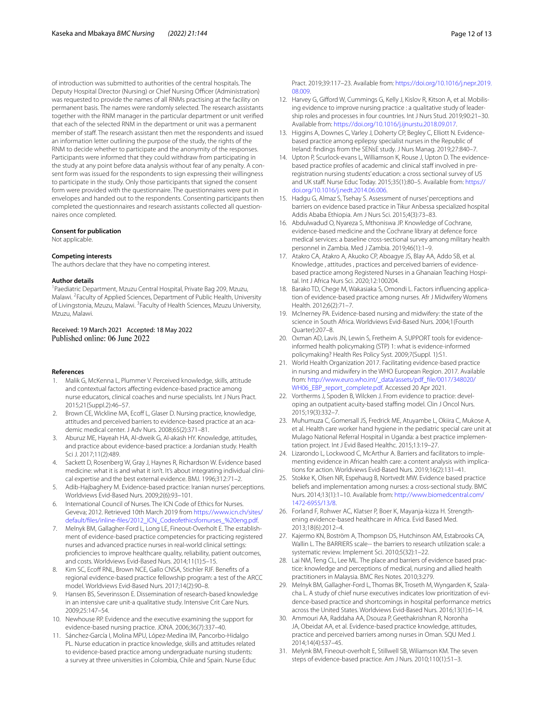of introduction was submitted to authorities of the central hospitals. The Deputy Hospital Director (Nursing) or Chief Nursing Officer (Administration) was requested to provide the names of all RNMs practising at the facility on permanent basis. The names were randomly selected. The research assistants together with the RNM manager in the particular department or unit verifed that each of the selected RNM in the department or unit was a permanent member of staf. The research assistant then met the respondents and issued an information letter outlining the purpose of the study, the rights of the RNM to decide whether to participate and the anonymity of the responses. Participants were informed that they could withdraw from participating in the study at any point before data analysis without fear of any penalty. A consent form was issued for the respondents to sign expressing their willingness to participate in the study. Only those participants that signed the consent form were provided with the questionnaire. The questionnaires were put in envelopes and handed out to the respondents. Consenting participants then completed the questionnaires and research assistants collected all questionnaires once completed.

#### **Consent for publication**

Not applicable.

#### **Competing interests**

The authors declare that they have no competing interest.

#### **Author details**

<sup>1</sup> Paediatric Department, Mzuzu Central Hospital, Private Bag 209, Mzuzu, Malawi.<sup>2</sup> Faculty of Applied Sciences, Department of Public Health, University of Livingstonia, Mzuzu, Malawi. <sup>3</sup> Faculty of Health Sciences, Mzuzu University, Mzuzu, Malawi.

# Received: 19 March 2021 Accepted: 18 May 2022<br>Published online: 06 June 2022

#### **References**

- <span id="page-11-0"></span>1. Malik G, McKenna L, Plummer V. Perceived knowledge, skills, attitude and contextual factors afecting evidence-based practice among nurse educators, clinical coaches and nurse specialists. Int J Nurs Pract. 2015;21(Suppl.2):46–57.
- <span id="page-11-1"></span>2. Brown CE, Wickline MA, Ecoff L, Glaser D. Nursing practice, knowledge, attitudes and perceived barriers to evidence-based practice at an academic medical center. J Adv Nurs. 2008;65(2):371–81.
- <span id="page-11-2"></span>3. Aburuz ME, Hayeah HA, Al-dweik G, Al-akash HY. Knowledge, attitudes, and practice about evidence-based practice: a Jordanian study. Health Sci J. 2017;11(2):489.
- <span id="page-11-3"></span>4. Sackett D, Rosenberg W, Gray J, Haynes R, Richardson W. Evidence based medicine: what it is and what it isn't. It's about integrating individual clinical expertise and the best external evidence. BMJ. 1996;312:71–2.
- <span id="page-11-4"></span>5. Adib-Hajbaghery M. Evidence-based practice: Iranian nurses' perceptions. Worldviews Evid-Based Nurs. 2009;2(6):93–101.
- <span id="page-11-5"></span>6. International Council of Nurses. The ICN Code of Ethics for Nurses. Geveva; 2012. Retrieved 10th March 2019 from [https://www.icn.ch/sites/](https://www.icn.ch/sites/default/files/inline-files/2012_ICN_Codeofethicsfornurses_%20eng.pdf) [default/fles/inline-fles/2012\\_ICN\\_Codeofethicsfornurses\\_%20eng.pdf](https://www.icn.ch/sites/default/files/inline-files/2012_ICN_Codeofethicsfornurses_%20eng.pdf).
- <span id="page-11-6"></span>7. Melnyk BM, Gallagher-Ford L, Long LE, Fineout-Overholt E. The establishment of evidence-based practice competencies for practicing registered nurses and advanced practice nurses in real-world clinical settings: profciencies to improve healthcare quality, reliability, patient outcomes, and costs. Worldviews Evid-Based Nurs. 2014;11(1):5–15.
- 8. Kim SC, Ecoff RNL, Brown NCE, Gallo CNSA, Stichler RJF. Benefits of a regional evidence-based practice fellowship program: a test of the ARCC model. Worldviews Evid-Based Nurs. 2017;14(2):90–8.
- <span id="page-11-7"></span>9. Hansen BS, Severinsson E. Dissemination of research-based knowledge in an intensive care unit-a qualitative study. Intensive Crit Care Nurs. 2009;25:147–54.
- <span id="page-11-8"></span>10. Newhouse RP. Evidence and the executive examining the support for evidence-based nursing practice. JONA. 2006;36(7):337–40.
- <span id="page-11-9"></span>11. Sánchez-García I, Molina MPU, López-Medina IM, Pancorbo-Hidalgo PL. Nurse education in practice knowledge, skills and attitudes related to evidence-based practice among undergraduate nursing students: a survey at three universities in Colombia, Chile and Spain. Nurse Educ

Pract. 2019;39:117–23. Available from: [https://doi.org/10.1016/j.nepr.2019.](https://doi.org/10.1016/j.nepr.2019.08.009) [08.009](https://doi.org/10.1016/j.nepr.2019.08.009).

- 12. Harvey G, Giford W, Cummings G, Kelly J, Kislov R, Kitson A, et al. Mobilising evidence to improve nursing practice : a qualitative study of leadership roles and processes in four countries. Int J Nurs Stud. 2019;90:21–30. Available from: <https://doi.org/10.1016/j.ijnurstu.2018.09.017>.
- 13. Higgins A, Downes C, Varley J, Doherty CP, Begley C, Elliott N. Evidencebased practice among epilepsy specialist nurses in the Republic of Ireland: fndings from the SENsE study. J Nurs Manag. 2019;27:840–7.
- <span id="page-11-10"></span>14. Upton P, Scurlock-evans L, Williamson K, Rouse J, Upton D. The evidencebased practice profiles of academic and clinical staff involved in preregistration nursing students' education: a cross sectional survey of US and UK staff. Nurse Educ Today. 2015;35(1):80-5. Available from: [https://](https://doi.org/10.1016/j.nedt.2014.06.006) [doi.org/10.1016/j.nedt.2014.06.006](https://doi.org/10.1016/j.nedt.2014.06.006).
- <span id="page-11-11"></span>15. Hadgu G, Almaz S, Tsehay S. Assessment of nurses' perceptions and barriers on evidence based practice in Tikur Anbessa specialized hospital Addis Ababa Ethiopia. Am J Nurs Sci. 2015;4(3):73–83.
- <span id="page-11-19"></span>16. Abdulwadud O, Nyareza S, Mthoniswa JP. Knowledge of Cochrane, evidence-based medicine and the Cochrane library at defence force medical services: a baseline cross-sectional survey among military health personnel in Zambia. Med J Zambia. 2019;46(1):1–9.
- <span id="page-11-25"></span>17. Atakro CA, Atakro A, Akuoko CP, Aboagye JS, Blay AA, Addo SB, et al. Knowledge , attitudes , practices and perceived barriers of evidencebased practice among Registered Nurses in a Ghanaian Teaching Hospital. Int J Africa Nurs Sci. 2020;12:100204.
- <span id="page-11-12"></span>18. Barako TD, Chege M, Wakasiaka S, Omondi L. Factors infuencing application of evidence-based practice among nurses. Afr J Midwifery Womens Health. 2012;6(2):71–7.
- <span id="page-11-13"></span>19. Mclnerney PA. Evidence-based nursing and midwifery: the state of the science in South Africa. Worldviews Evid-Based Nurs. 2004;1(Fourth Quarter):207–8.
- <span id="page-11-14"></span>20. Oxman AD, Lavis JN, Lewin S, Fretheim A. SUPPORT tools for evidenceinformed health policymaking (STP) 1: what is evidence-informed policymaking? Health Res Policy Syst. 2009;7(Suppl. 1):S1.
- <span id="page-11-15"></span>21. World Health Organization 2017. Facilitating evidence-based practice in nursing and midwifery in the WHO European Region. 2017. Available from: [http://www.euro.who.int/\\_data/assets/pdf\\_fle/0017/348020/](http://www.euro.who.int/_data/assets/pdf_file/0017/348020/WH06_EBP_report_complete.pdf) [WH06\\_EBP\\_report\\_complete.pdf.](http://www.euro.who.int/_data/assets/pdf_file/0017/348020/WH06_EBP_report_complete.pdf) Accessed 20 Apr 2021.
- <span id="page-11-16"></span>22. Vortherms J, Spoden B, Wilcken J. From evidence to practice: developing an outpatient acuity-based staffing model. Clin J Oncol Nurs. 2015;19(3):332–7.
- <span id="page-11-17"></span>23. Muhumuza C, Gomersall JS, Fredrick ME, Atuyambe L, Okiira C, Mukose A, et al. Health care worker hand hygiene in the pediatric special care unit at Mulago National Referral Hospital in Uganda: a best practice implementation project. Int J Evid Based Healthc. 2015;13:19–27.
- <span id="page-11-18"></span>24. Lizarondo L, Lockwood C, McArthur A. Barriers and facilitators to implementing evidence in African health care: a content analysis with implications for action. Worldviews Evid-Based Nurs. 2019;16(2):131–41.
- <span id="page-11-20"></span>25. Stokke K, Olsen NR, Espehaug B, Nortvedt MW. Evidence based practice beliefs and implementation among nurses: a cross-sectional study. BMC Nurs. 2014;13(1):1–10. Available from: [http://www.biomedcentral.com/](http://www.biomedcentral.com/1472-6955/13/8) [1472-6955/13/8](http://www.biomedcentral.com/1472-6955/13/8).
- 26. Forland F, Rohwer AC, Klatser P, Boer K, Mayanja-kizza H. Strengthening evidence-based healthcare in Africa. Evid Based Med. 2013;18(6):2012–4.
- 27. Kajermo KN, Boström A, Thompson DS, Hutchinson AM, Estabrooks CA, Wallin L. The BARRIERS scale-- the barriers to research utilization scale: a systematic review. Implement Sci. 2010;5(32):1–22.
- <span id="page-11-22"></span>28. Lai NM, Teng CL, Lee ML. The place and barriers of evidence based practice: knowledge and perceptions of medical, nursing and allied health practitioners in Malaysia. BMC Res Notes. 2010;3:279.
- <span id="page-11-21"></span>29. Melnyk BM, Gallagher-Ford L, Thomas BK, Troseth M, Wyngarden K, Szalacha L. A study of chief nurse executives indicates low prioritization of evidence-based practice and shortcomings in hospital performance metrics across the United States. Worldviews Evid-Based Nurs. 2016;13(1):6–14.
- <span id="page-11-23"></span>30. Ammouri AA, Raddaha AA, Dsouza P, Geethakrishnan R, Noronha JA, Obeidat AA, et al. Evidence-based practice knowledge, attitudes, practice and perceived barriers among nurses in Oman. SQU Med J. 2014;14(4):537–45.
- <span id="page-11-24"></span>31. Melynk BM, Fineout-overholt E, Stillwell SB, Wiliamson KM. The seven steps of evidence-based practice. Am J Nurs. 2010;110(1):51–3.